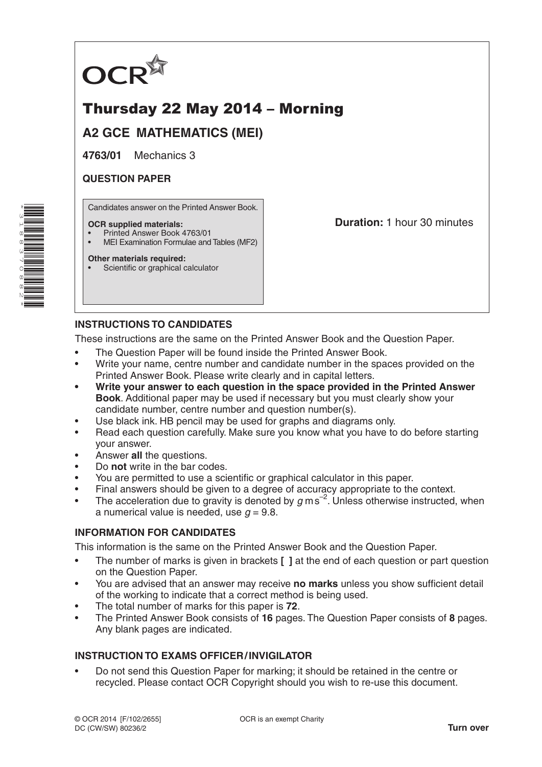

# Thursday 22 May 2014 – Morning

**A2 GCE MATHEMATICS (MEI)**

**4763/01** Mechanics 3

# **QUESTION PAPER**

\*W 1 $^\alpha$  $^\alpha$ W  $\overline{\phantom{0}}$  $^\alpha$  $^\alpha$ N \* Candidates answer on the Printed Answer Book.

#### **OCR supplied materials:**

- Printed Answer Book 4763/01
- MEI Examination Formulae and Tables (MF2)

#### **Other materials required:**

• Scientific or graphical calculator

**Duration:** 1 hour 30 minutes

# **INSTRUCTIONS TO CANDIDATES**

These instructions are the same on the Printed Answer Book and the Question Paper.

- The Question Paper will be found inside the Printed Answer Book.
- Write your name, centre number and candidate number in the spaces provided on the Printed Answer Book. Please write clearly and in capital letters.
- **• Write your answer to each question in the space provided in the Printed Answer Book**. Additional paper may be used if necessary but you must clearly show your candidate number, centre number and question number(s).
- Use black ink. HB pencil may be used for graphs and diagrams only.
- Read each question carefully. Make sure you know what you have to do before starting your answer.
- Answer **all** the questions.
- Do **not** write in the bar codes.
- You are permitted to use a scientific or graphical calculator in this paper.
- Final answers should be given to a degree of accuracy appropriate to the context.
- The acceleration due to gravity is denoted by  $g$  ms<sup>-2</sup>. Unless otherwise instructed, when a numerical value is needed, use  $q = 9.8$ .

# **INFORMATION FOR CANDIDATES**

This information is the same on the Printed Answer Book and the Question Paper.

- The number of marks is given in brackets **[ ]** at the end of each question or part question on the Question Paper.
- You are advised that an answer may receive **no marks** unless you show sufficient detail of the working to indicate that a correct method is being used.
- The total number of marks for this paper is **72**.
- The Printed Answer Book consists of **16** pages. The Question Paper consists of **8** pages. Any blank pages are indicated.

#### **INSTRUCTION TO EXAMS OFFICER/INVIGILATOR**

• Do not send this Question Paper for marking; it should be retained in the centre or recycled. Please contact OCR Copyright should you wish to re-use this document.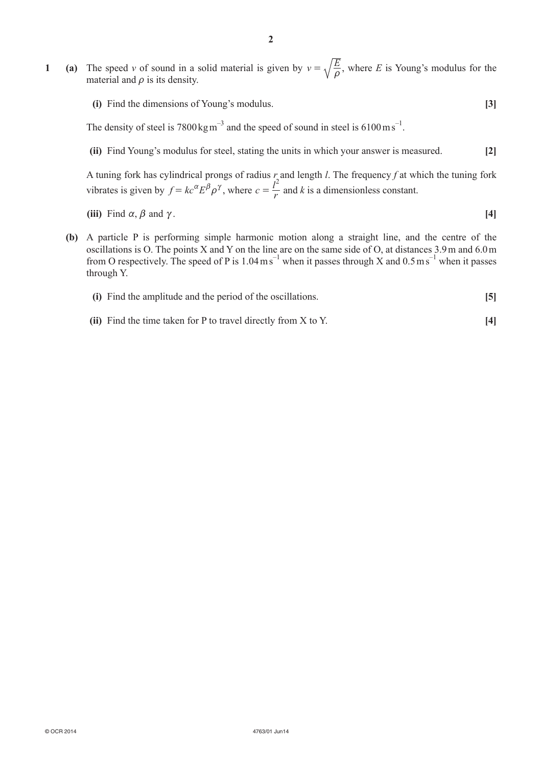- **1** (a) The speed *v* of sound in a solid material is given by  $v = \sqrt{\frac{E}{\rho}}$ , where *E* is Young's modulus for the material and  $\rho$  is its density.
	- **(i)** Find the dimensions of Young's modulus. **[3]**

The density of steel is  $7800 \text{ kg m}^{-3}$  and the speed of sound in steel is  $6100 \text{ ms}^{-1}$ .

**(ii)** Find Young's modulus for steel, stating the units in which your answer is measured. **[2]** 

A tuning fork has cylindrical prongs of radius  $r$  and length  $l$ . The frequency  $f$  at which the tuning fork vibrates is given by  $f = kc^{\alpha} E^{\beta} \rho^{\gamma}$ , where  $c = \frac{l}{r}$  $=\frac{l^2}{r}$  and *k* is a dimensionless constant.

- (iii) Find  $\alpha$ ,  $\beta$  and  $\gamma$ .
- **(b)**  A particle P is performing simple harmonic motion along a straight line, and the centre of the oscillations is O. The points X and Y on the line are on the same side of O, at distances 3.9m and 6.0m from O respectively. The speed of P is  $1.04 \text{ m s}^{-1}$  when it passes through X and  $0.5 \text{ m s}^{-1}$  when it passes through Y.
	- **(i)** Find the amplitude and the period of the oscillations. **[5]**
	- **(ii)** Find the time taken for P to travel directly from X to Y. [4]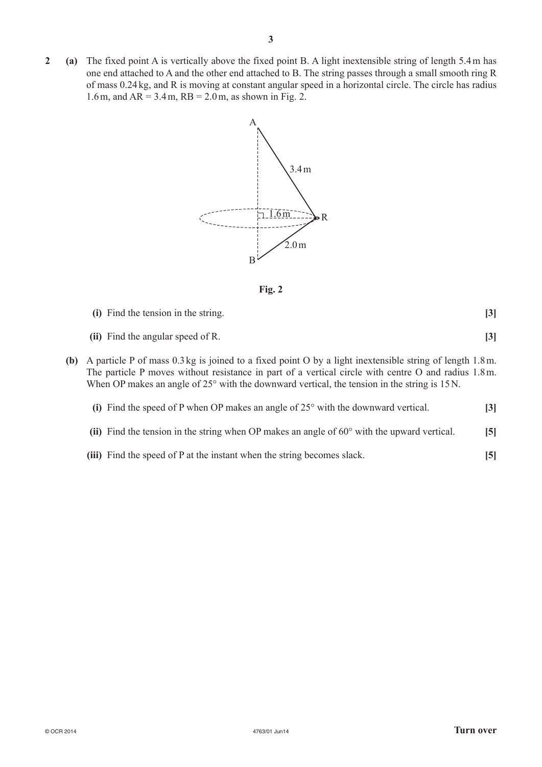**2** (a) The fixed point A is vertically above the fixed point B. A light inextensible string of length 5.4m has one end attached to A and the other end attached to B. The string passes through a small smooth ring R of mass 0.24 kg, and R is moving at constant angular speed in a horizontal circle. The circle has radius 1.6 m, and  $AR = 3.4$  m,  $RB = 2.0$  m, as shown in Fig. 2.





**(i)** Find the tension in the string. **[3]** 

- **(ii)** Find the angular speed of R. **[3]**
- **(b)** A particle P of mass 0.3 kg is joined to a fixed point O by a light inextensible string of length 1.8m. The particle P moves without resistance in part of a vertical circle with centre O and radius 1.8m. When OP makes an angle of 25° with the downward vertical, the tension in the string is 15N.

| (i) Find the speed of P when OP makes an angle of $25^{\circ}$ with the downward vertical.           | $\left 3\right $ |
|------------------------------------------------------------------------------------------------------|------------------|
| (ii) Find the tension in the string when OP makes an angle of $60^{\circ}$ with the upward vertical. | $\left[5\right]$ |

**(iii)** Find the speed of P at the instant when the string becomes slack. **[5]**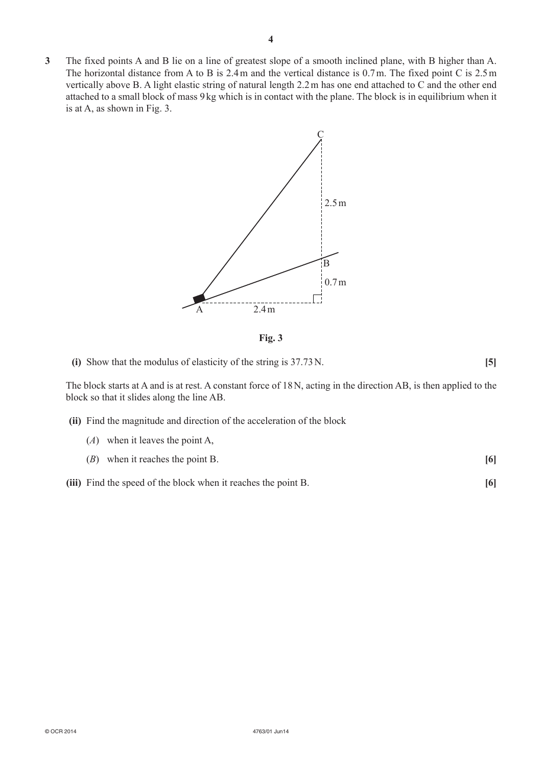**3**  The fixed points A and B lie on a line of greatest slope of a smooth inclined plane, with B higher than A. The horizontal distance from A to B is 2.4m and the vertical distance is 0.7m. The fixed point C is 2.5m vertically above B. A light elastic string of natural length 2.2m has one end attached to C and the other end attached to a small block of mass 9 kg which is in contact with the plane. The block is in equilibrium when it is at A, as shown in Fig. 3.



**Fig. 3**

**(i)** Show that the modulus of elasticity of the string is 37.73 N. **[5]** 

The block starts at A and is at rest. A constant force of 18N, acting in the direction AB, is then applied to the block so that it slides along the line AB.

- **(ii)** Find the magnitude and direction of the acceleration of the block
	- $(A)$  when it leaves the point A,
	- (*B*) when it reaches the point B. **[6]**
- **(iii)** Find the speed of the block when it reaches the point B. **[6]**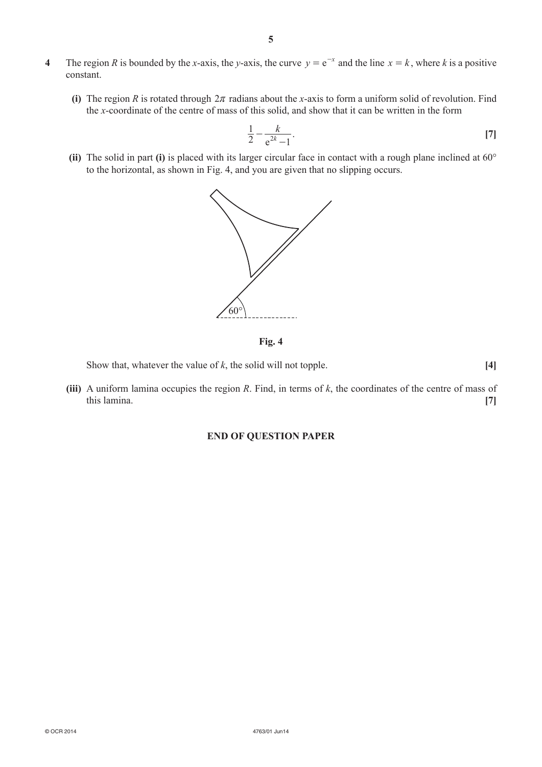- **4** The region *R* is bounded by the *x*-axis, the *y*-axis, the curve  $y = e^{-x}$  and the line  $x = k$ , where *k* is a positive constant.
	- **(i)** The region *R* is rotated through  $2\pi$  radians about the *x*-axis to form a uniform solid of revolution. Find the *x*-coordinate of the centre of mass of this solid, and show that it can be written in the form

$$
\frac{1}{2} - \frac{k}{e^{2k} - 1}.
$$
 [7]

**(ii)** The solid in part **(i)** is placed with its larger circular face in contact with a rough plane inclined at 60° to the horizontal, as shown in Fig. 4, and you are given that no slipping occurs.



**Fig. 4**

Show that, whatever the value of *k*, the solid will not topple. **[4]**

**(iii)** A uniform lamina occupies the region *R*. Find, in terms of  $k$ , the coordinates of the centre of mass of this lamina. **[7]**

#### **END OF QUESTION PAPER**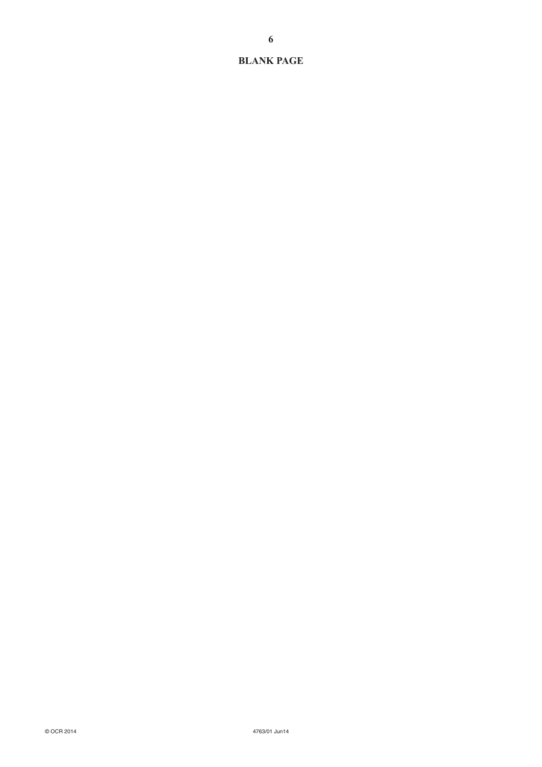### **BLANK PAGE**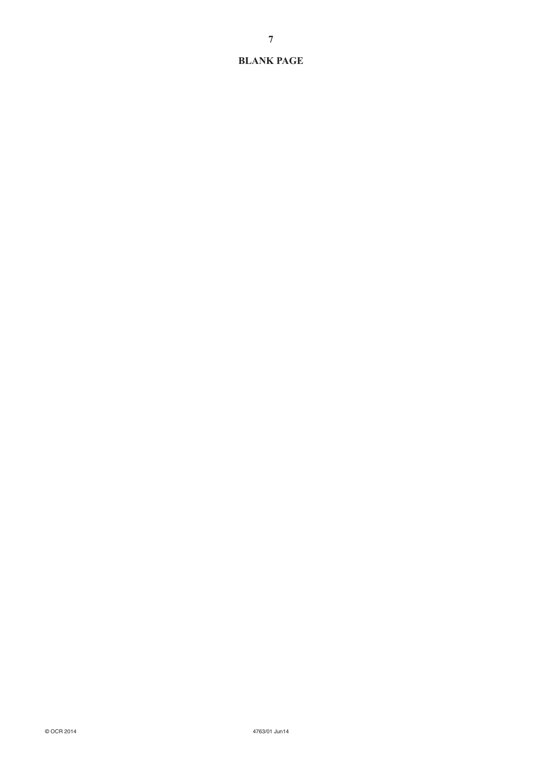### **BLANK PAGE**